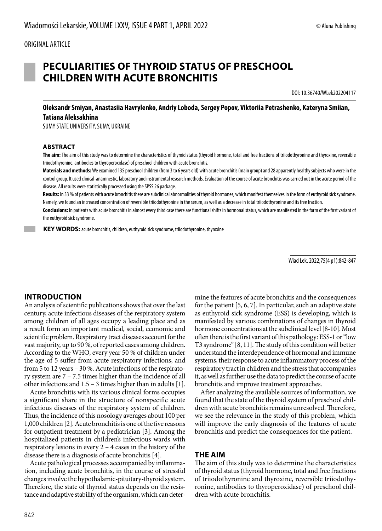#### ORIGINAL ARTICLE

# **PECULIARITIES OF THYROID STATUS OF PRESCHOOL CHILDREN WITH ACUTE BRONCHITIS**

DOI: 10.36740/WLek202204117

**Oleksandr Smiyan, Anastasiia Havrylenko, Andriy Loboda, Sergey Popov, Viktoriia Petrashenko, Kateryna Smiian, Tatiana Aleksakhina**

SUMY STATE UNIVERSITY, SUMY, UKRAINE

#### **ABSTRACT**

**The aim:** The aim of this study was to determine the characteristics of thyroid status (thyroid hormone, total and free fractions of triiodothyronine and thyroxine, reversible triiodothyronine, antibodies to thyroperoxidase) of preschool children with acute bronchitis.

**Materials and methods:** We examined 135 preschool children (from 3 to 6 years old) with acute bronchitis (main group) and 28 apparently healthy subjects who were in the control group. It used clinical-anamnestic, laboratory and instrumental research methods. Evaluation of the course of acute bronchitis was carried out in the acute period of the disease. All results were statistically processed using the SPSS 26 package.

**Results:** In 33 % of patients with acute bronchitis there are subclinical abnormalities of thyroid hormones, which manifest themselves in the form of euthyroid sick syndrome. Namely, we found an increased concentration of reversible triiodothyronine in the serum, as well as a decrease in total triiodothyronine and its free fraction.

**Conclusions:** In patients with acute bronchitis in almost every third case there are functional shifts in hormonal status, which are manifested in the form of the first variant of the euthyroid sick syndrome.

 **KEY WORDS:** acute bronchitis, children, euthyroid sick syndrome, triiodothyronine, thyroxine

Wiad Lek. 2022;75(4 p1):842-847

#### **INTRODUCTION**

An analysis of scientific publications shows that over the last century, acute infectious diseases of the respiratory system among children of all ages occupy a leading place and as a result form an important medical, social, economic and scientific problem. Respiratory tract diseases account for the vast majority, up to 90 %, of reported cases among children. According to the WHO, every year 50 % of children under the age of 5 suffer from acute respiratory infections, and from 5 to 12 years – 30 %. Acute infections of the respiratory system are 7 – 7.5 times higher than the incidence of all other infections and 1.5 – 3 times higher than in adults [1].

Acute bronchitis with its various clinical forms occupies a significant share in the structure of nonspecific acute infectious diseases of the respiratory system of children. Thus, the incidence of this nosology averages about 100 per 1,000 children [2]. Acute bronchitis is one of the five reasons for outpatient treatment by a pediatrician [3]. Among the hospitalized patients in children's infectious wards with respiratory lesions in every 2 – 4 cases in the history of the disease there is a diagnosis of acute bronchitis [4].

Acute pathological processes accompanied by inflammation, including acute bronchitis, in the course of stressful changes involve the hypothalamic-pituitary-thyroid system. Therefore, the state of thyroid status depends on the resistance and adaptive stability of the organism, which can determine the features of acute bronchitis and the consequences for the patient [5, 6, 7]. In particular, such an adaptive state as euthyroid sick syndrome (ESS) is developing, which is manifested by various combinations of changes in thyroid hormone concentrations at the subclinical level [8-10]. Most often there is the first variant of this pathology: ESS-1 or "low T3 syndrome" [8, 11]. The study of this condition will better understand the interdependence of hormonal and immune systems, their response to acute inflammatory process of the respiratory tract in children and the stress that accompanies it, as well as further use the data to predict the course of acute bronchitis and improve treatment approaches.

After analyzing the available sources of information, we found that the state of the thyroid system of preschool children with acute bronchitis remains unresolved. Therefore, we see the relevance in the study of this problem, which will improve the early diagnosis of the features of acute bronchitis and predict the consequences for the patient.

#### **THE AIM**

The aim of this study was to determine the characteristics of thyroid status (thyroid hormone, total and free fractions of triiodothyronine and thyroxine, reversible triiodothyronine, antibodies to thyroperoxidase) of preschool children with acute bronchitis.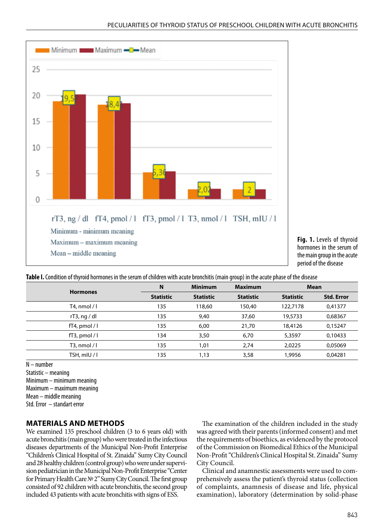



**Table I.** Condition of thyroid hormones in the serum of children with acute bronchitis (main group) in the acute phase of the disease

| <b>Hormones</b>  | N                | <b>Minimum</b>   | <b>Maximum</b>   | Mean             |                   |
|------------------|------------------|------------------|------------------|------------------|-------------------|
|                  | <b>Statistic</b> | <b>Statistic</b> | <b>Statistic</b> | <b>Statistic</b> | <b>Std. Error</b> |
| T4, nmol / I     | 135              | 118,60           | 150,40           | 122,7178         | 0.41377           |
| rT3, ng / dl     | 135              | 9,40             | 37,60            | 19,5733          | 0,68367           |
| $fT4$ , pmol / l | 135              | 6,00             | 21,70            | 18,4126          | 0,15247           |
| $fT3$ , pmol / l | 134              | 3,50             | 6,70             | 5,3597           | 0.10433           |
| T3, nmol / l     | 135              | 1,01             | 2,74             | 2,0225           | 0,05069           |
| TSH, mIU / l     | 135              | 1,13             | 3,58             | 1,9956           | 0,04281           |

N – number Statistic – meaning Minimum – minimum meaning Maximum – maximum meaning Mean – middle meaning Std. Error – standart error

## **MATERIALS AND METHODS**

We examined 135 preschool children (3 to 6 years old) with acute bronchitis (main group) who were treated in the infectious diseases departments of the Municipal Non-Profit Enterprise "Children's Clinical Hospital of St. Zinaida" Sumy City Council and 28 healthy children (control group) who were under supervision pediatrician in the Municipal Non-Profit Enterprise "Center for Primary Health Care № 2" Sumy City Council. The first group consisted of 92 children with acute bronchitis, the second group included 43 patients with acute bronchitis with signs of ESS.

The examination of the children included in the study was agreed with their parents (informed consent) and met the requirements of bioethics, as evidenced by the protocol of the Commission on Biomedical Ethics of the Municipal Non-Profit "Children's Clinical Hospital St. Zinaida" Sumy City Council.

Clinical and anamnestic assessments were used to comprehensively assess the patient's thyroid status (collection of complaints, anamnesis of disease and life, physical examination), laboratory (determination by solid-phase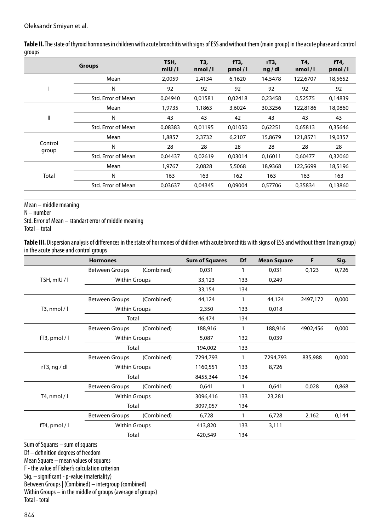**Table II.** The state of thyroid hormones in children with acute bronchitis with signs of ESS and without them (main group) in the acute phase and control groups

| <b>Groups</b>    |                    | TSH,<br>m U | T3,<br>nmol/l | fT3,<br>pmol/1 | rT3,<br>ng/dl | T4,<br>nmol/l | fT4,<br>pmol/l |
|------------------|--------------------|-------------|---------------|----------------|---------------|---------------|----------------|
|                  | Mean               | 2,0059      | 2,4134        | 6,1620         | 14,5478       | 122,6707      | 18,5652        |
|                  | N                  | 92          | 92            | 92             | 92            | 92            | 92             |
|                  | Std. Error of Mean | 0.04940     | 0,01581       | 0,02418        | 0,23458       | 0,52575       | 0,14839        |
| $\mathbf{I}$     | Mean               | 1,9735      | 1,1863        | 3,6024         | 30,3256       | 122,8186      | 18,0860        |
|                  | N                  | 43          | 43            | 42             | 43            | 43            | 43             |
|                  | Std. Error of Mean | 0,08383     | 0,01195       | 0,01050        | 0,62251       | 0,65813       | 0,35646        |
| Control<br>group | Mean               | 1,8857      | 2,3732        | 6,2107         | 15,8679       | 121,8571      | 19,0357        |
|                  | N                  | 28          | 28            | 28             | 28            | 28            | 28             |
|                  | Std. Error of Mean | 0,04437     | 0,02619       | 0,03014        | 0,16011       | 0,60477       | 0,32060        |
| Total            | Mean               | 1,9767      | 2,0828        | 5,5068         | 18,9368       | 122,5699      | 18,5196        |
|                  | N                  | 163         | 163           | 162            | 163           | 163           | 163            |
|                  | Std. Error of Mean | 0,03637     | 0,04345       | 0,09004        | 0,57706       | 0,35834       | 0,13860        |

Mean – middle meaning

N – number

Std. Error of Mean – standart error of middle meaning

Total – total

**Table III.** Dispersion analysis of differences in the state of hormones of children with acute bronchitis with signs of ESS and without them (main group) in the acute phase and control groups

|                     | <b>Hormones</b>       |            | <b>Sum of Squares</b> | Df  | <b>Mean Square</b> | F        | Sig.  |
|---------------------|-----------------------|------------|-----------------------|-----|--------------------|----------|-------|
| TSH, mIU / I        | <b>Between Groups</b> | (Combined) | 0,031                 | 1   | 0,031              | 0,123    | 0,726 |
|                     | <b>Within Groups</b>  |            | 33,123                | 133 | 0,249              |          |       |
|                     |                       |            | 33,154                | 134 |                    |          |       |
| T3, nmol $/1$       | <b>Between Groups</b> | (Combined) | 44,124                | 1   | 44,124             | 2497,172 | 0,000 |
|                     | <b>Within Groups</b>  |            | 2,350                 | 133 | 0,018              |          |       |
|                     | Total                 |            | 46,474                | 134 |                    |          |       |
| fT3, pmol / $\vert$ | <b>Between Groups</b> | (Combined) | 188,916               | 1   | 188,916            | 4902,456 | 0,000 |
|                     | <b>Within Groups</b>  |            | 5,087                 | 132 | 0,039              |          |       |
|                     | Total                 |            | 194,002               | 133 |                    |          |       |
| $rT3$ , ng / dl     | Between Groups        | (Combined) | 7294,793              | 1   | 7294,793           | 835,988  | 0,000 |
|                     | <b>Within Groups</b>  |            | 1160,551              | 133 | 8,726              |          |       |
|                     | Total                 |            | 8455,344              | 134 |                    |          |       |
| T4, nmol / l        | Between Groups        | (Combined) | 0.641                 | 1   | 0,641              | 0,028    | 0,868 |
|                     | <b>Within Groups</b>  |            | 3096,416              | 133 | 23,281             |          |       |
|                     | Total                 |            | 3097,057              | 134 |                    |          |       |
| $fT4$ , pmol / l    | Between Groups        | (Combined) | 6,728                 | 1   | 6,728              | 2,162    | 0,144 |
|                     | <b>Within Groups</b>  |            | 413,820               | 133 | 3,111              |          |       |
|                     | Total                 |            | 420,549               | 134 |                    |          |       |

Sum of Squares – sum of squares Df – definition degrees of freedom Mean Square – mean values of squares F - the value of Fisher's calculation criterion Sig. – significant - p-value (materiality) Between Groups | (Combined) – intergroup (combined) Within Groups – in the middle of groups (average of groups) Total - total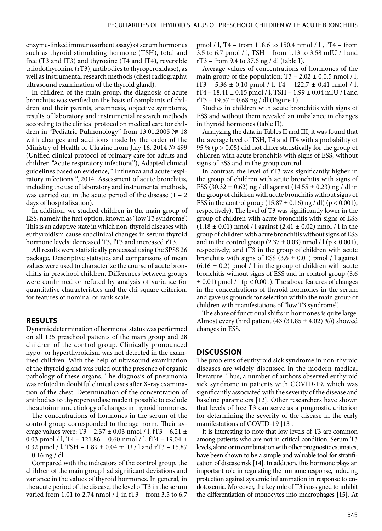enzyme-linked immunosorbent assay) of serum hormones such as thyroid-stimulating hormone (TSH), total and free (T3 and fT3) and thyroxine (T4 and fT4), reversible triiodothyronine (rT3), antibodies to thyroperoxidase), as well as instrumental research methods (chest radiography, ultrasound examination of the thyroid gland).

In children of the main group, the diagnosis of acute bronchitis was verified on the basis of complaints of children and their parents, anamnesis, objective symptoms, results of laboratory and instrumental research methods according to the clinical protocol on medical care for children in "Pediatric Pulmonology" from 13.01.2005 № 18 with changes and additions made by the order of the Ministry of Health of Ukraine from July 16, 2014 № 499 (Unified clinical protocol of primary care for adults and children "Acute respiratory infections"), Adapted clinical guidelines based on evidence, " Influenza and acute respiratory infections ", 2014. Assessment of acute bronchitis, including the use of laboratory and instrumental methods, was carried out in the acute period of the disease  $(1 – 2)$ days of hospitalization).

In addition, we studied children in the main group of ESS, namely the first option, known as "low T3 syndrome". This is an adaptive state in which non-thyroid diseases with euthyroidism cause subclinical changes in serum thyroid hormone levels: decreased T3, fT3 and increased rT3.

All results were statistically processed using the SPSS 26 package. Descriptive statistics and comparisons of mean values were used to characterize the course of acute bronchitis in preschool children. Differences between groups were confirmed or refuted by analysis of variance for quantitative characteristics and the chi-square criterion, for features of nominal or rank scale.

#### **RESULTS**

Dynamic determination of hormonal status was performed on all 135 preschool patients of the main group and 28 children of the control group. Clinically pronounced hypo- or hyperthyroidism was not detected in the examined children. With the help of ultrasound examination of the thyroid gland was ruled out the presence of organic pathology of these organs. The diagnosis of pneumonia was refuted in doubtful clinical cases after X-ray examination of the chest. Determination of the concentration of antibodies to thyroperoxidase made it possible to exclude the autoimmune etiology of changes in thyroid hormones.

The concentrations of hormones in the serum of the control group corresponded to the age norm. Their average values were: T3 – 2.37 ± 0.03 nmol / l, fT3 – 6.21 ± 0.03 pmol / l, T4 – 121.86 ± 0.60 nmol / l, fT4 – 19.04 ± 0.32 pmol / l, TSH – 1.89 ± 0.04 mIU / l and rT3 – 15.87  $± 0.16$  ng / dl.

Compared with the indicators of the control group, the children of the main group had significant deviations and variance in the values of thyroid hormones. In general, in the acute period of the disease, the level of T3 in the serum varied from 1.01 to 2.74 nmol / l, in fT3 – from 3.5 to 6.7

pmol / l, T4 – from 118.6 to 150.4 nmol / l , fT4 – from 3.5 to 6.7 pmol / l, TSH – from 1.13 to 3.58 mIU / l and rT3 – from 9.4 to 37.6 ng / dl (table I).

Average values of concentrations of hormones of the main group of the population:  $T3 - 2.02 \pm 0.005$  nmol / l, fT3 – 5,36  $\pm$  0,10 pmol / l, T4 – 122,7  $\pm$  0,41 nmol / l, fT4 – 18.41  $\pm$  0.15 pmol / l, TSH – 1.99  $\pm$  0.04 mIU / l and  $rT3 - 19.57 \pm 0.68$  ng / dl (Figure 1).

Studies in children with acute bronchitis with signs of ESS and without them revealed an imbalance in changes in thyroid hormones (table II).

Analyzing the data in Tables II and III, it was found that the average level of TSH, T4 and fT4 with a probability of 95 % (p > 0.05) did not differ statistically for the group of children with acute bronchitis with signs of ESS, without signs of ESS and in the group control.

In contrast, the level of rT3 was significantly higher in the group of children with acute bronchitis with signs of ESS (30.32  $\pm$  0.62) ng / dl against (14.55  $\pm$  0.23) ng / dl in the group of children with acute bronchitis without signs of ESS in the control group  $(15.87 \pm 0.16)$  ng / dl) (p < 0.001), respectively). The level of T3 was significantly lower in the group of children with acute bronchitis with signs of ESS  $(1.18 \pm 0.01)$  nmol / l against  $(2.41 \pm 0.02)$  nmol / l in the group of children with acute bronchitis without signs of ESS and in the control group  $(2.37 \pm 0.03)$  nmol / l (p < 0.001), respectively; and fT3 in the group of children with acute bronchitis with signs of ESS  $(3.6 \pm 0.01)$  pmol / l against  $(6.16 \pm 0.2)$  pmol / l in the group of children with acute bronchitis without signs of ESS and in control group (3.6  $\pm$  0.01) pmol / l (p < 0.001). The above features of changes in the concentrations of thyroid hormones in the serum and gave us grounds for selection within the main group of children with manifestations of "low T3 syndrome".

The share of functional shifts in hormones is quite large. Almost every third patient  $(43 (31.85 \pm 4.02)$ %)) showed changes in ESS.

#### **DISCUSSION**

The problems of euthyroid sick syndrome in non-thyroid diseases are widely discussed in the modern medical literature. Thus, a number of authors observed euthyroid sick syndrome in patients with COVID-19, which was significantly associated with the severity of the disease and baseline parameters [12]. Other researchers have shown that levels of free T3 can serve as a prognostic criterion for determining the severity of the disease in the early manifestations of COVID-19 [13].

It is interesting to note that low levels of T3 are common among patients who are not in critical condition. Serum T3 levels, alone or in combination with other prognostic estimates, have been shown to be a simple and valuable tool for stratification of disease risk [14]. In addition, this hormone plays an important role in regulating the immune response, inducing protection against systemic inflammation in response to endotoxemia. Moreover, the key role of T3 is assigned to inhibit the differentiation of monocytes into macrophages [15]. At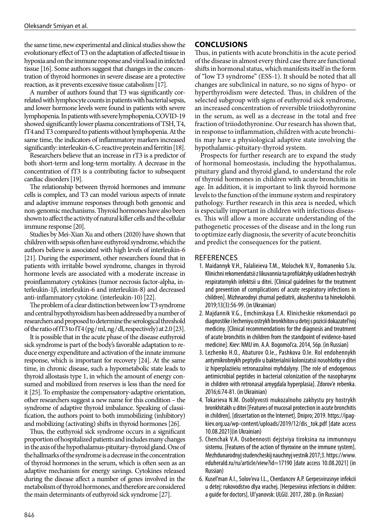the same time, new experimental and clinical studies show the evolutionary effect of T3 on the adaptation of affected tissue in hypoxia and on the immune response and viral load in infected tissue [16]. Some authors suggest that changes in the concentration of thyroid hormones in severe disease are a protective reaction, as it prevents excessive tissue catabolism [17].

A number of authors found that T3 was significantly correlated with lymphocyte counts in patients with bacterial sepsis, and lower hormone levels were found in patients with severe lymphopenia. In patients with severe lymphopenia, COVID-19 showed significantly lower plasma concentrations of TSH, T4, fT4 and T3 compared to patients without lymphopenia. At the same time, the indicators of inflammatory markers increased significantly: interleukin-6, C-reactive protein and ferritin [18].

Researchers believe that an increase in rT3 is a predictor of both short-term and long-term mortality. A decrease in the concentration of fT3 is a contributing factor to subsequent cardiac disorders [19].

The relationship between thyroid hormones and immune cells is complex, and T3 can model various aspects of innate and adaptive immune responses through both genomic and non-genomic mechanisms. Thyroid hormones have also been shown to affect the activity of natural killer cells and the cellular immune response [20].

Studies by Mei-Xian Xu and others (2020) have shown that children with sepsis often have euthyroid syndrome, which the authors believe is associated with high levels of interleukin-6 [21]. During the experiment, other researchers found that in patients with irritable bowel syndrome, changes in thyroid hormone levels are associated with a moderate increase in proinflammatory cytokines (tumor necrosis factor-alpha, interleukin-1β, interleukin-6 and interleukin-8) and decreased anti-inflammatory cytokine. (interleukin-10) [22].

The problem of a clear distinction between low T3 syndrome and central hypothyroidism has been addressed by a number of researchers and proposed to determine the serological threshold of the ratio of fT3 to fT4 (pg / ml, ng / dl, respectively) at 2.0 [23].

It is possible that in the acute phase of the disease euthyroid sick syndrome is part of the body's favorable adaptation to reduce energy expenditure and activation of the innate immune response, which is important for recovery [24]. At the same time, in chronic disease, such a hypometabolic state leads to thyroid allostasis type 1, in which the amount of energy consumed and mobilized from reserves is less than the need for it [25]. To emphasize the compensatory-adaptive orientation, other researchers suggest a new name for this condition – the syndrome of adaptive thyroid imbalance. Speaking of classification, the authors point to both immobilizing (inhibitory) and mobilizing (activating) shifts in thyroid hormones [26].

Thus, the euthyroid sick syndrome occurs in a significant proportion of hospitalized patients and includes many changes in the axis of the hypothalamus-pituitary-thyroid gland. One of the hallmarks of the syndrome is a decrease in the concentration of thyroid hormones in the serum, which is often seen as an adaptive mechanism for energy savings. Cytokines released during the disease affect a number of genes involved in the metabolism of thyroid hormones, and therefore are considered the main determinants of euthyroid sick syndrome [27].

## **CONCLUSIONS**

Thus, in patients with acute bronchitis in the acute period of the disease in almost every third case there are functional shifts in hormonal status, which manifests itself in the form of "low T3 syndrome" (ESS-1). It should be noted that all changes are subclinical in nature, so no signs of hypo- or hyperthyroidism were detected. Thus, in children of the selected subgroup with signs of euthyroid sick syndrome, an increased concentration of reversible triiodothyronine in the serum, as well as a decrease in the total and free fraction of triiodothyronine. Our research has shown that, in response to inflammation, children with acute bronchitis may have a physiological adaptive state involving the hypothalamic-pituitary-thyroid system.

Prospects for further research are to expand the study of hormonal homeostasis, including the hypothalamus, pituitary gland and thyroid gland, to understand the role of thyroid hormones in children with acute bronchitis in age. In addition, it is important to link thyroid hormone levels to the function of the immune system and respiratory pathology. Further research in this area is needed, which is especially important in children with infectious diseases. This will allow a more accurate understanding of the pathogenetic processes of the disease and in the long run to optimize early diagnosis, the severity of acute bronchitis and predict the consequences for the patient.

#### REFERENCES

- 1. Maidannyk V.H., Falalieieva T.M., Molochek N.V., Romanenko S.Iu. Klinichni rekomendatsii z likuvannia ta profilaktyky uskladnen hostrykh respiratornykh infektsii u ditei. [Clinical guidelines for the treatment and prevention of complications of acute respiratory infections in children]. Mizhnarodnyi zhurnal pediatrii, akusherstva ta hinekolohii. 2019;13(3):56-99. (in Ukrainian)
- 2. Majdannik V.G., Emchinskaya E.A. Klinicheskie rekomendacii po diagnostike i lecheniyu ostrykh bronkhitov u detej s pozicii dokazatel'noj mediciny. [Clinical recommendations for the diagnosis and treatment of acute bronchitis in children from the standpoint of evidence-based medicine]. Kiev: NMU im. A.A. Bogomol'ca. 2014, 56p. (in Russian)
- 3. Lezhenko H.O., Abaturov O.Ie., Pashkova O.Ie. Rol endohennykh antymikrobnykh peptydiv u bakterialnii kolonizatsii nosohlotky v ditei iz hiperplaziieiu retronazalnoi myhdalyny. [The role of endogenous antimicrobial peptides in bacterial colonization of the nasopharynx in children with retronasal amygdala hyperplasia]. Zdorov'e rebenka. 2016;6:74-81. (in Ukrainian)
- 4. Tokarieva N.M. Osoblyvosti mukozalnoho zakhystu pry hostrykh bronkhitakh u ditei [Features of mucosal protection in acute bronchitis in children]. [dissertation on the Internet]. Dnipro; 2019. https://ipagkiev.org.ua/wp-content/uploads/2019/12/dis\_tok.pdf [date access 10.08.2021](in Ukrainian)
- 5. Chenchak V.A. Osobennosti dejstviya tiroksina na immunnuyu sistemu. [Features of the action of thyroxine on the immune system]. Mezhdunarodnyj studencheskij nauchnyj vestnik 2017;3. https://www. eduherald.ru/ru/article/view?id=17190 [date access 10.08.2021] (in Russian)
- 6. Kusel'man A.I., Solov'eva I.L., Cherdancev A.P. Gerpesvirusnye infekcii u detej: rukovodstvo dlya vrachej. [Herpesvirus infections in children: a guide for doctors]. Ul'yanovsk: ULGU. 2017, 280 р. (in Russian)